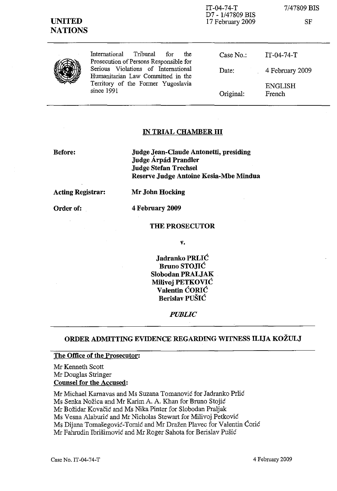

IT-04-74-T D7 - 1/47809 BIS 17 February 2009 7/47809 BIS

SF

International Tribunal for the Prosecution of Persons Responsible for Serious Violations of International Humanitarian Law Committed in the Territory of the Fonner Yugoslavia since 1991

Case No.: Date: Original: IT-04-74-T 4 February 2009 ENGLISH French

## IN TRIAL CHAMBER **III**

Before:

Judge Jean-Claude Antonetti, presiding Judge Árpád Prandler Judge Stefan Trechsel Reserve Judge Antoine Kesia-Mbe Mindua

Acting Registrar:

Order of:

MrJohn Hocking 4 February 2009

THE PROSECUTOR

v.

Jadranko PRLIC Bruno STOJIC Slobodan PRALJAK MiIivoj PETKOVIC Valentin CORIC Berislav PUSIC

*PUBLIC*

### ORDER ADMITTING EVIDENCE REGARDING WITNESS ILIJA KOZULJ

#### The Office of the Prosecutor:

Mr Kenneth Scott Mr Douglas Stringer Counsel for the Accused:

Mr Michael Karnavas and Ms Suzana Tomanovic for Jadranko Prlic Ms Senka Nožica and Mr Karim A. A. Khan for Bruno Stojić Mr Bozidar Kovacic and Ms Nika Pinter for Slobodan Praljak Ms Vesna Alaburic and Mr Nicholas Stewart for Milivoj Petkovic Ms Dijana Tomasegovic-Tomic and Mr Drazen Plavec for Valentin Coric Mr Fahrudin Ibrisimovic and Mr Roger Sahota for Berislav Pusic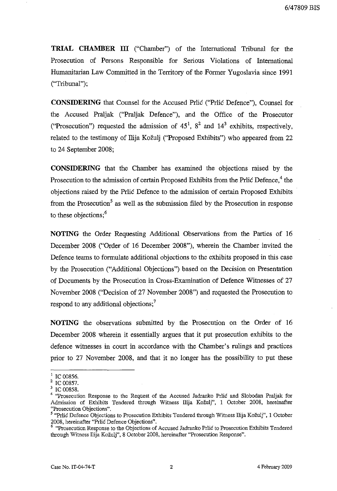**TRIAL CHAMBER ill** ("Chamber") of the International Tribunal for the Prosecution of Persons Responsible for Serious Violations of International Humanitarian Law Committed in the Territory of the Former Yugoslavia since 1991 ("Tribunal");

**CONSIDERING** that Counsel for the Accused Prlic ("Prlic Defence"), Counsel for the Accused Praljak ("Praljak Defence"), and the Office of the Prosecutor ("Prosecution") requested the admission of  $45^1$ ,  $8^2$  and  $14^3$  exhibits, respectively, related to the testimony of Ilija Kozulj ("Proposed Exhibits") who appeared from 22 to 24 September 200S;

**CONSIDERING** that the Chamber has examined the objections raised by the Prosecution to the admission of certain Proposed Exhibits from the Prlic Defence,<sup>4</sup> the objections raised by the Prlic Defence to the admission of certain Proposed Exhibits from the Prosecution<sup>5</sup> as well as the submission filed by the Prosecution in response to these objections:<sup>6</sup>

**NOTING** the Order Requesting Additional Observations from the Parties of 16 December 200S ("Order of 16 December 200S"), wherein the Chamber invited the Defence teams to formulate additional objections to the exhibits proposed in this case by the Prosecution ("Additional Objections") based on the Decision on Presentation of Documents by the Prosecution in Cross-Examination of Defence Witnesses of 27 November 200S ("Decision of 27 November 200S") and requested the Prosecution to respond to any additional objections;<sup>7</sup>

**NOTING** the observations submitted by the Prosecution on the Order of 16 December 200S wherein it essentially argues that it put prosecution exhibits to the defence witnesses in court in accordance with the Chamber's rulings and practices prior to 27 November 200S, and that it no longer has the possibility to put these

 $1$  IC 00856.

<sup>&</sup>lt;sup>2</sup> IC 00857.

<sup>3</sup> IC 00858.

<sup>&</sup>lt;sup>4</sup> "Prosecution Response to the Request of the Accused Jadranko Prlić and Slobodan Praljak for Admission of Exhibits Tendered through Witness Ilija Kozulj", 1 October 2008, hereinafter "Prosecution Objections".

<sup>5</sup> "Prlic Defence Objections to Prosecution Exhibits Tendered through Witness Ilija Kozulj", 1 October 2008, hereinafter "Prlic Defence Objections".

<sup>&</sup>lt;sup>6</sup> "Prosecution Response to the Objections of Accused Jadranko Prlić to Prosecution Exhibits Tendered through Witness Ilija Kozulj", 8 October 2008, hereinafter "Prosecution Response".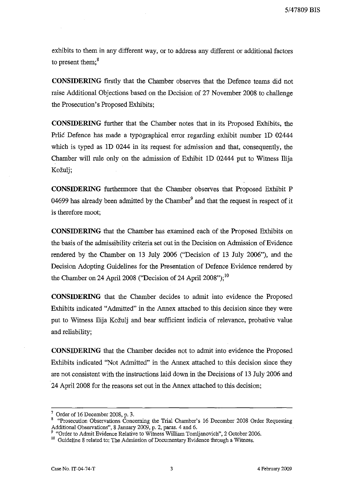exhibits to them in any different way, or to address any different or additional factors to present them:<sup>8</sup>

**CONSIDERING** firstly that the Chamber observes that the Defence teams did not raise Additional Objections based on the Decision of 27 November 2008 to challenge the Prosecution's Proposed Exhibits;

**CONSIDERING** further that the Chamber notes that in its Proposed Exhibits, the Prlic Defence has made a typographical error regarding exhibit number lD 02444 which is typed as lD 0244 in its request for admission and that, consequently, the Chamber will rule only on the admission of Exhibit ID 02444 put to Witness Ilija Kožulj;

**CONSIDERING** furthermore that the Chamber observes that Proposed Exhibit P 04699 has already been admitted by the Chamber $<sup>9</sup>$  and that the request in respect of it</sup> is therefore moot;

**CONSIDERING** that the Chamber has examined each of the Proposed Exhibits on the basis of the admissibility criteria set out in the Decision on Admission of Evidence rendered by the Chamber on 13 July 2006 ("Decision of 13 July 2006"), and the Decision Adopting Guidelines for the Presentation of Defence Evidence rendered by the Chamber on 24 April 2008 ("Decision of 24 April 2008");<sup>10</sup>

**CONSIDERING** that the Chamber decides to admit into evidence the Proposed Exhibits indicated "Admitted" in the Annex attached to this decision since they were put to Witness Ilija Kozulj and bear sufficient indicia of relevance, probative value and reliability;

**CONSIDERING** that the Chamber decides not to admit into evidence the Proposed Exhibits indicated "Not Admitted" in the Annex attached to this decision since they are not consistent with the instructions laid down in the Decisions of 13 July 2006 and 24 April 2008 for the reasons set out in the Annex attached to this decision;

Order of 16 December 2008, p. 3.

<sup>8</sup> "Prosecution Observations Concerning the Trial Chamber's 16 December 2008 Order Requesting Additional Observations", 8 January 2009, p. 2, paras. 4 and 6.

<sup>&</sup>lt;sup>9</sup> "Order to Admit Evidence Relative to Witness William Tomljanovich", 2 October 2006.

 $10$  Guideline 8 related to: The Admission of Documentary Evidence through a Witness.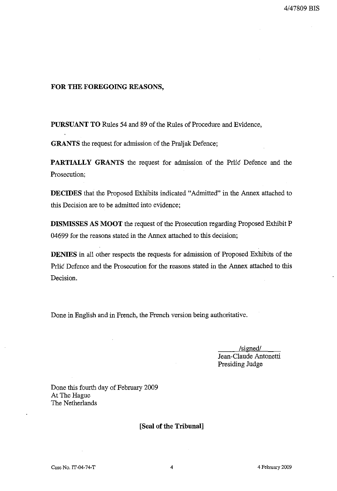#### **FOR THE FOREGOING REASONS,**

**PURSUANT TO** Rules 54 and 89 of the Rules of Procedure and Evidence,

**GRANTS** the request for admission of the Praljak Defence;

**PARTIALLY GRANTS** the request for admission of the Prlic Defence and the Prosecution;

**DECIDES** that the Proposed Exhibits indicated "Admitted" in the Annex attached to this Decision are to be admitted into evidence;

**DISMISSES AS MOOT** the request of the Prosecution regarding Proposed Exhibit P 04699 for the reasons stated in the Annex attached to this decision;

**DENIES** in all other respects the requests for admission of Proposed Exhibits of the Prlic Defence and the Prosecution for the reasons stated in the Annex attached to this Decision.

Done in English and in French, the French version being authoritative.

/sizned/ Jean-Claude Antonetti Presiding Judge

Done this fourth day of February 2009 At The Hague The Netherlands

[Seal of the Tribunal]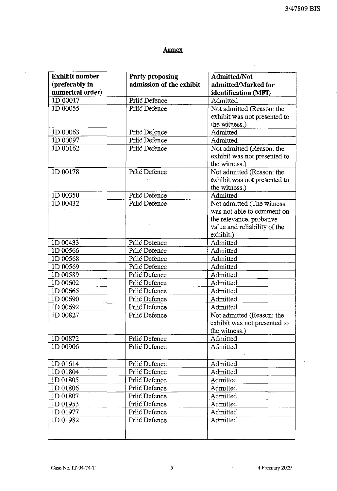# **Annex**

 $\frac{1}{2}$ 

 $\Delta \phi = 0.000$  and  $\Delta \phi$ 

 $\frac{1}{\sqrt{2}}\sum_{i=1}^{n-1} \frac{1}{\sqrt{2}}\left(\frac{1}{\sqrt{2}}\right)^2$ 

 $\hat{\mathcal{A}}$ 

 $\mathcal{A}$ 

 $\mathcal{L}^{\mathcal{L}}(\mathcal{L}^{\mathcal{L}})$  and  $\mathcal{L}^{\mathcal{L}}(\mathcal{L}^{\mathcal{L}})$  and  $\mathcal{L}^{\mathcal{L}}(\mathcal{L}^{\mathcal{L}})$ 

| <b>Exhibit number</b> | Party proposing          | Admitted/Not                 |
|-----------------------|--------------------------|------------------------------|
| (preferably in        | admission of the exhibit | admitted/Marked for          |
| numerical order)      |                          | identification (MFI)         |
| 1D 00017              | Prlić Defence            | Admitted                     |
| 1D 00055              | Prlic Defence            | Not admitted (Reason: the    |
|                       |                          | exhibit was not presented to |
|                       |                          | the witness.)                |
| 1D 00063              | Prlić Defence            | Admitted                     |
| ID 00097              | Prlić Defence            | Admitted                     |
| 1D 00162              | Prlić Defence            | Not admitted (Reason: the    |
|                       |                          | exhibit was not presented to |
|                       |                          | the witness.)                |
| 1D 00178              | Prlić Defence            | Not admitted (Reason: the    |
|                       |                          | exhibit was not presented to |
|                       |                          | the witness.)                |
| 1D 00350              | Prlić Defence            | Admitted                     |
| 1D 00432              | Prlić Defence            | Not admitted (The witness    |
|                       |                          | was not able to comment on   |
|                       |                          | the relevance, probative     |
|                       |                          | value and reliability of the |
|                       |                          | exhibit.)                    |
| 1D 00433              | Prlić Defence            | Admitted                     |
| 1D 00566              | Prlić Defence            | Admitted                     |
| 1D 00568              | Prlić Defence            | Admitted                     |
| 1D 00569              | Prlić Defence            | Admitted                     |
| 1D 00589              | Prlić Defence            | Admitted                     |
| 1D 00602              | Prlić Defence            | Admitted                     |
| 1D 00665              | Prlić Defence            | Admitted                     |
| 1D 00690              | Prlić Defence            | Admitted                     |
| ID 00692              | Prlić Defence            | Admitted                     |
| 1D 00827              | Prlić Defence            | Not admitted (Reason: the    |
|                       |                          | exhibit was not presented to |
|                       |                          | the witness.)                |
| 1D 00872              | Prlić Defence            | Admitted                     |
| 1D 00906              | Prlić Defence            | Admitted                     |
|                       |                          |                              |
| 1D 01614              | Prlić Defence            | Admitted                     |
| 1D 01804              | Prlić Defence            | Admitted                     |
| 1D 01805              | Prlić Defence            | Admitted                     |
| ID 01806              | Prlić Defence            | Admitted                     |
| 1D 01807              | Prlić Defence            | Admitted                     |
| 1D 01953              | Prlić Defence            | Admitted                     |
| 1D 01977              | Prlić Defence            | Admitted                     |
| 1D 01982              | Prlić Defence            | Admitted                     |
|                       |                          |                              |
|                       |                          |                              |

 $\mathcal{L}^{\mathcal{L}}$ 

 $\ddot{\phantom{a}}$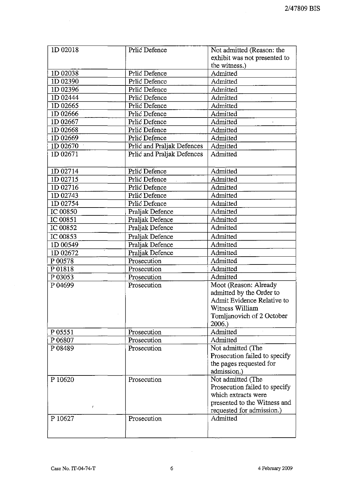| 1D 02018 | Prlić Defence              | Not admitted (Reason: the     |
|----------|----------------------------|-------------------------------|
|          |                            | exhibit was not presented to  |
|          |                            | the witness.)                 |
| 1D 02038 | Prlić Defence              | Admitted                      |
| 1D 02390 | Prlić Defence              | Admitted                      |
| 1D 02396 | Prlić Defence              | Admitted                      |
| 1D 02444 | Prlić Defence              | Admitted                      |
| 1D 02665 | Prlić Defence              | Admitted                      |
| 1D 02666 | Prlić Defence              | Admitted                      |
| 1D 02667 | Prlić Defence              | Admitted                      |
| ID 02668 | Prlić Defence              | Admitted                      |
| 1D 02669 | Prlić Defence              | Admitted                      |
| 1D 02670 | Prlić and Praljak Defences | Admitted                      |
| 1D 02671 | Prlić and Praljak Defences | Admitted                      |
|          |                            |                               |
| 1D 02714 | Prlić Defence              | Admitted                      |
| 1D 02715 | Prlić Defence              | Admitted                      |
| 1D 02716 | Prlić Defence              | Admitted                      |
| 1D 02743 | Prlić Defence              | Admitted                      |
| ID 02754 | Prlić Defence              | Admitted                      |
| IC 00850 | Praljak Defence            | Admitted                      |
| IC 00851 | Praljak Defence            | Admitted                      |
| IC 00852 | Praljak Defence            | Admitted                      |
| IC 00853 | Praljak Defence            | Admitted                      |
| 1D 00549 | Praljak Defence            | Admitted                      |
| 1D 02672 | Praljak Defence            | Admitted                      |
| P 00578  | Prosecution                | Admitted                      |
| P 01818  | Prosecution                | Admitted                      |
| P 03053  | Prosecution                | Admitted                      |
| P 04699  | Prosecution                | Moot (Reason: Already         |
|          |                            | admitted by the Order to      |
|          |                            | Admit Evidence Relative to    |
|          |                            | Witness William               |
|          |                            | Tomljanovich of 2 October     |
|          |                            | 2006.)                        |
| P 05551  | Prosecution                | Admitted                      |
| P 06807  | Prosecution                | Admitted                      |
| P 08489  | Prosecution                | Not admitted (The             |
|          |                            | Prosecution failed to specify |
|          |                            | the pages requested for       |
|          |                            | admission.)                   |
| P 10620  | Prosecution                | Not admitted (The             |
|          |                            | Prosecution failed to specify |
|          |                            | which extracts were           |
|          |                            | presented to the Witness and  |
| I        |                            | requested for admission.)     |
| P 10627  | Prosecution                | Admitted                      |
|          |                            |                               |
|          |                            |                               |

 $\sim$   $\sim$ 

 $\sim 10^7$